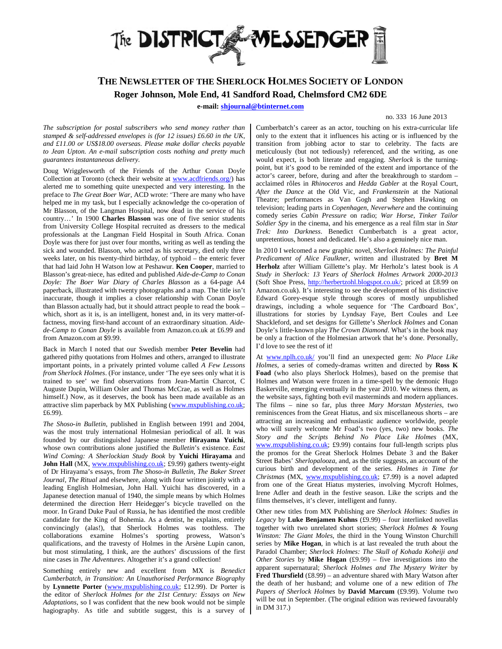

## **THE NEWSLETTER OF THE SHERLOCK HOLMES SOCIETY OF LONDON Roger Johnson, Mole End, 41 Sandford Road, Chelmsford CM2 6DE**

**e-mail: shjournal@btinternet.com** 

## no. 333 16 June 2013

*The subscription for postal subscribers who send money rather than stamped & self-addressed envelopes is (for 12 issues) £6.60 in the UK, and £11.00 or US\$18.00 overseas. Please make dollar checks payable to Jean Upton. An e-mail subscription costs nothing and pretty much guarantees instantaneous delivery.* 

Doug Wrigglesworth of the Friends of the Arthur Conan Doyle Collection at Toronto (check their website at www.acdfriends.org/) has alerted me to something quite unexpected and very interesting. In the preface to *The Great Boer War*, ACD wrote: 'There are many who have helped me in my task, but I especially acknowledge the co-operation of Mr Blasson, of the Langman Hospital, now dead in the service of his country…' In 1900 **Charles Blasson** was one of five senior students from University College Hospital recruited as dressers to the medical professionals at the Langman Field Hospital in South Africa. Conan Doyle was there for just over four months, writing as well as tending the sick and wounded. Blasson, who acted as his secretary, died only three weeks later, on his twenty-third birthday, of typhoid – the enteric fever that had laid John H Watson low at Peshawur. **Ken Cooper**, married to Blasson's great-niece, has edited and published *Aide-de-Camp to Conan Doyle: The Boer War Diary of Charles Blasson* as a 64-page A4 paperback, illustrated with twenty photographs and a map. The title isn't inaccurate, though it implies a closer relationship with Conan Doyle than Blasson actually had, but it should attract people to read the book – which, short as it is, is an intelligent, honest and, in its very matter-offactness, moving first-hand account of an extraordinary situation. *Aidede-Camp to Conan Doyle* is available from Amazon.co.uk at £6.99 and from Amazon.com at \$9.99.

Back in March I noted that our Swedish member **Peter Bevelin** had gathered pithy quotations from Holmes and others, arranged to illustrate important points, in a privately printed volume called *A Few Lessons from Sherlock Holmes*. (For instance, under 'The eye sees only what it is trained to see' we find observations from Jean-Martin Charcot, C Auguste Dupin, William Osler and Thomas McCrae, as well as Holmes himself.) Now, as it deserves, the book has been made available as an attractive slim paperback by MX Publishing (www.mxpublishing.co.uk; £6.99).

*The Shoso-in Bulletin*, published in English between 1991 and 2004, was the most truly international Holmesian periodical of all. It was founded by our distinguished Japanese member **Hirayama Yuichi**, whose own contributions alone justified the *Bulletin*'s existence. *East Wind Coming: A Sherlockian Study Book* by **Yuichi Hirayama** and John Hall (MX, www.mxpublishing.co.uk; £9.99) gathers twenty-eight of Dr Hirayama's essays, from *The Shoso-in Bulletin*, *The Baker Street Journal*, *The Ritual* and elsewhere, along with four written jointly with a leading English Holmesian, John Hall. Yuichi has discovered, in a Japanese detection manual of 1940, the simple means by which Holmes determined the direction Herr Heidegger's bicycle travelled on the moor. In Grand Duke Paul of Russia, he has identified the most credible candidate for the King of Bohemia. As a dentist, he explains, entirely convincingly (alas!), that Sherlock Holmes was toothless. The collaborations examine Holmes's sporting prowess, Watson's qualifications, and the travesty of Holmes in the Arsène Lupin canon, but most stimulating, I think, are the authors' discussions of the first nine cases in *The Adventures*. Altogether it's a grand collection!

Something entirely new and excellent from MX is *Benedict Cumberbatch, in Transition: An Unauthorised Performance Biography* by **Lynnette Porter** (www.mxpublishing.co.uk; £12.99). Dr Porter is the editor of *Sherlock Holmes for the 21st Century: Essays on New Adaptations*, so I was confident that the new book would not be simple hagiography. As title and subtitle suggest, this is a survey of

Cumberbatch's career as an actor, touching on his extra-curricular life only to the extent that it influences his acting or is influenced by the transition from jobbing actor to star to celebrity. The facts are meticulously (but not tediously) referenced, and the writing, as one would expect, is both literate and engaging. *Sherlock* is the turningpoint, but it's good to be reminded of the extent and importance of the actor's career, before, during and after the breakthrough to stardom – acclaimed rôles in *Rhinoceros* and *Hedda Gabler* at the Royal Court, *After the Dance* at the Old Vic, and *Frankenstein* at the National Theatre; performances as Van Gogh and Stephen Hawking on television; leading parts in *Copenhagen*, *Neverwhere* and the continuing comedy series *Cabin Pressure* on radio; *War Horse*, *Tinker Tailor Soldier Spy* in the cinema, and his emergence as a real film star in *Star Trek: Into Darkness*. Benedict Cumberbatch is a great actor, unpretentious, honest and dedicated. He's also a genuinely nice man.

In 2010 I welcomed a new graphic novel, *Sherlock Holmes: The Painful Predicament of Alice Faulkner*, written and illustrated by **Bret M Herholz** after William Gillette's play. Mr Herholz's latest book is *A Study in Sherlock: 13 Years of Sherlock Holmes Artwork 2000-2013* (Soft Shoe Press, http://herbertzohl.blogspot.co.uk/; priced at £8.99 on Amazon.co.uk). It's interesting to see the development of his distinctive Edward Gorey-esque style through scores of mostly unpublished drawings, including a whole sequence for 'The Cardboard Box', illustrations for stories by Lyndsay Faye, Bert Coules and Lee Shackleford, and set designs for Gillette's *Sherlock Holmes* and Conan Doyle's little-known play *The Crown Diamond*. What's in the book may be only a fraction of the Holmesian artwork that he's done. Personally, I'd love to see the rest of it!

At www.nplh.co.uk/ you'll find an unexpected gem: *No Place Like Holmes*, a series of comedy-dramas written and directed by **Ross K Foad** (who also plays Sherlock Holmes), based on the premise that Holmes and Watson were frozen in a time-spell by the demonic Hugo Baskerville, emerging eventually in the year 2010. We witness them, as the website says, fighting both evil masterminds and modern appliances. The films – nine so far, plus three *Mary Morstan Mysteries*, two reminiscences from the Great Hiatus, and six miscellaneous shorts – are attracting an increasing and enthusiastic audience worldwide, people who will surely welcome Mr Foad's two (yes, two) new books. *The Story and the Scripts Behind No Place Like Holmes* (MX, www.mxpublishing.co.uk; £9.99) contains four full-length scripts plus the promos for the Great Sherlock Holmes Debate 3 and the Baker Street Babes' *Sherlopalooza*, and, as the title suggests, an account of the curious birth and development of the series. *Holmes in Time for Christmas* (MX, www.mxpublishing.co.uk; £7.99) is a novel adapted from one of the Great Hiatus mysteries, involving Mycroft Holmes, Irene Adler and death in the festive season. Like the scripts and the films themselves, it's clever, intelligent and funny.

Other new titles from MX Publishing are *Sherlock Holmes: Studies in Legacy* by **Luke Benjamen Kuhns** (£9.99) – four interlinked novellas together with two unrelated short stories; *Sherlock Holmes & Young Winston: The Giant Moles*, the third in the Young Winston Churchill series by **Mike Hogan**, in which is at last revealed the truth about the Paradol Chamber; *Sherlock Holmes: The Skull of Kohada Koheiji and Other Stories* by **Mike Hogan** (£9.99) – five investigations into the apparent supernatural; *Sherlock Holmes and The Mystery Writer* by **Fred Thursfield** (£8.99) – an adventure shared with Mary Watson after the death of her husband; and volume one of a new edition of *The Papers of Sherlock Holmes* by **David Marcum** (£9.99). Volume two will be out in September. (The original edition was reviewed favourably in DM 317.)